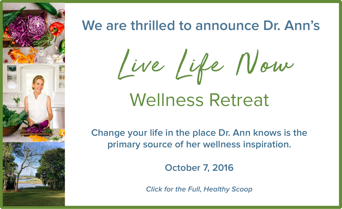Live Life Now



## **We are thrilled to announce Dr. Ann's**

**Change your life in the place Dr. Ann knows is the primary source of her wellness inspiration.**

**October 7, 2016**

**Click for the Full, Healthy Scoop**

# Wellness Retreat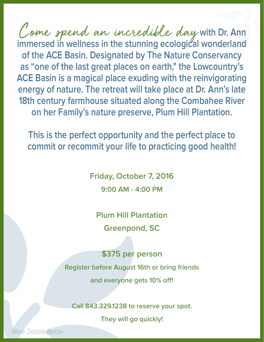Come spend an incredible day with Dr. Ann immersed in wellness in the stunning ecological wonderland **of the ACE Basin. Designated by The Nature Conservancy as "one of the last great places on earth," the Lowcountry's ACE Basin is a magical place exuding with the reinvigorating energy of nature. The retreat will take place at Dr. Ann's late 18th century farmhouse situated along the Combahee River on her Family's nature preserve, Plum Hill Plantation.** Come spend an incredible day

**This is the perfect opportunity and the perfect place to commit or recommit your life to practicing good health!** 

> **Friday, October 7, 2016 9:00 AM - 4:00 PM**

**Plum Hill Plantation Greenpond, SC**

**\$375 per person Register before August 16th or bring friends and everyone gets 10% off!**

**Call 843.329.1238 to reserve your spot.**

**They will go quickly!** 

More Details Below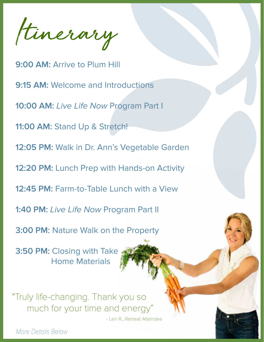Itinerary

**9:00 AM:** Arrive to Plum Hill **9:15 AM: Welcome and Introductions 10:00 AM:** Live Life Now Program Part I **11:00 AM:** Stand Up & Stretch! **12:05 PM:** Walk in Dr. Ann's Vegetable Garden **12:20 PM:** Lunch Prep with Hands-on Activity **12:45 PM:** Farm-to-Table Lunch with a View **1:40 PM:** Live Life Now Program Part II **3:00 PM:** Nature Walk on the Property **3:50 PM:** Closing with Take Home Materials

"Truly life-changing. Thank you so much for your time and energy"

- Len R., Retreat Attendee

More Details Below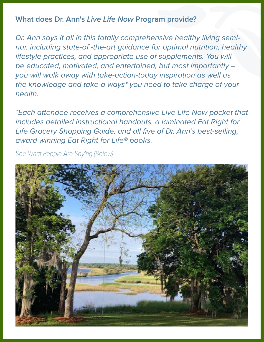### **What does Dr. Ann's Live Life Now Program provide?**

Dr. Ann says it all in this totally comprehensive healthy living seminar, including state-of -the-art guidance for optimal nutrition, healthy lifestyle practices, and appropriate use of supplements. You will be educated, motivated, and entertained, but most importantly – you will walk away with take-action-today inspiration as well as the knowledge and take-a ways\* you need to take charge of your health.

\*Each attendee receives a comprehensive Live Life Now packet that includes detailed instructional handouts, a laminated Eat Right for Life Grocery Shopping Guide, and all five of Dr. Ann's best-selling, award winning Eat Right for Life® books.

See What People Are Saying (Below)